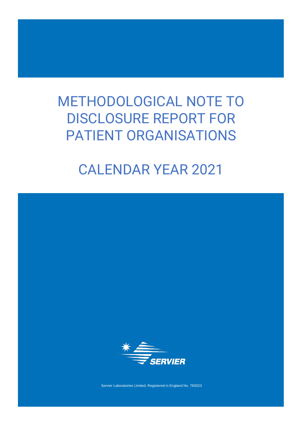# METHODOLOGICAL NOTE TO DISCLOSURE REPORT FOR PATIENT ORGANISATIONS

# CALENDAR YEAR 2021

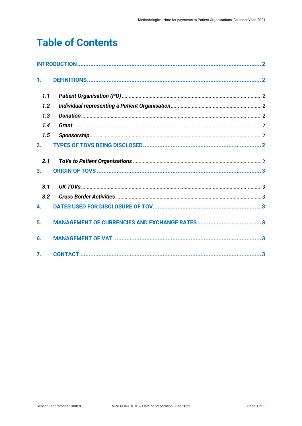# **Table of Contents**

| 1.               |  |
|------------------|--|
| 1.1              |  |
| 1.2              |  |
| 1.3              |  |
| 1.4              |  |
| 1.5              |  |
| 2.               |  |
| 2.1              |  |
| 3.               |  |
| 3.1              |  |
| 3.2              |  |
| 4.               |  |
| 5.               |  |
| 6.               |  |
| $\overline{7}$ . |  |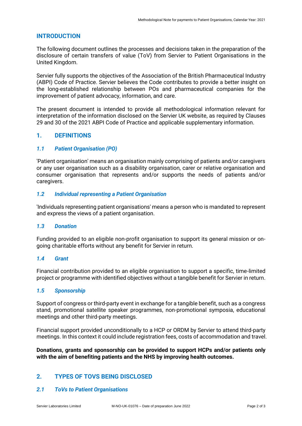# <span id="page-2-0"></span>**INTRODUCTION**

The following document outlines the processes and decisions taken in the preparation of the disclosure of certain transfers of value (ToV) from Servier to Patient Organisations in the United Kingdom.

Servier fully supports the objectives of the Association of the British Pharmaceutical Industry (ABPI) Code of Practice. Servier believes the Code contributes to provide a better insight on the long-established relationship between POs and pharmaceutical companies for the improvement of patient advocacy, information, and care.

The present document is intended to provide all methodological information relevant for interpretation of the information disclosed on the Servier UK website, as required by Clauses 29 and 30 of the 2021 ABPI Code of Practice and applicable supplementary information.

# <span id="page-2-1"></span>**1. DEFINITIONS**

# <span id="page-2-2"></span>*1.1 Patient Organisation (PO)*

'Patient organisation' means an organisation mainly comprising of patients and/or caregivers or any user organisation such as a disability organisation, carer or relative organisation and consumer organisation that represents and/or supports the needs of patients and/or caregivers.

# <span id="page-2-3"></span>*1.2 Individual representing a Patient Organisation*

'Individuals representing patient organisations' means a person who is mandated to represent and express the views of a patient organisation.

#### <span id="page-2-4"></span>*1.3 Donation*

Funding provided to an eligible non-profit organisation to support its general mission or ongoing charitable efforts without any benefit for Servier in return.

#### <span id="page-2-5"></span>*1.4 Grant*

Financial contribution provided to an eligible organisation to support a specific, time-limited project or programme with identified objectives without a tangible benefit for Servier in return.

### <span id="page-2-6"></span>*1.5 Sponsorship*

Support of congress or third-party event in exchange for a tangible benefit, such as a congress stand, promotional satellite speaker programmes, non-promotional symposia, educational meetings and other third-party meetings.

Financial support provided unconditionally to a HCP or ORDM by Servier to attend third-party meetings. In this context it could include registration fees, costs of accommodation and travel.

**Donations, grants and sponsorship can be provided to support HCPs and/or patients only with the aim of benefiting patients and the NHS by improving health outcomes.**

# <span id="page-2-7"></span>**2. TYPES OF TOVS BEING DISCLOSED**

#### <span id="page-2-8"></span>*2.1 ToVs to Patient Organisations*